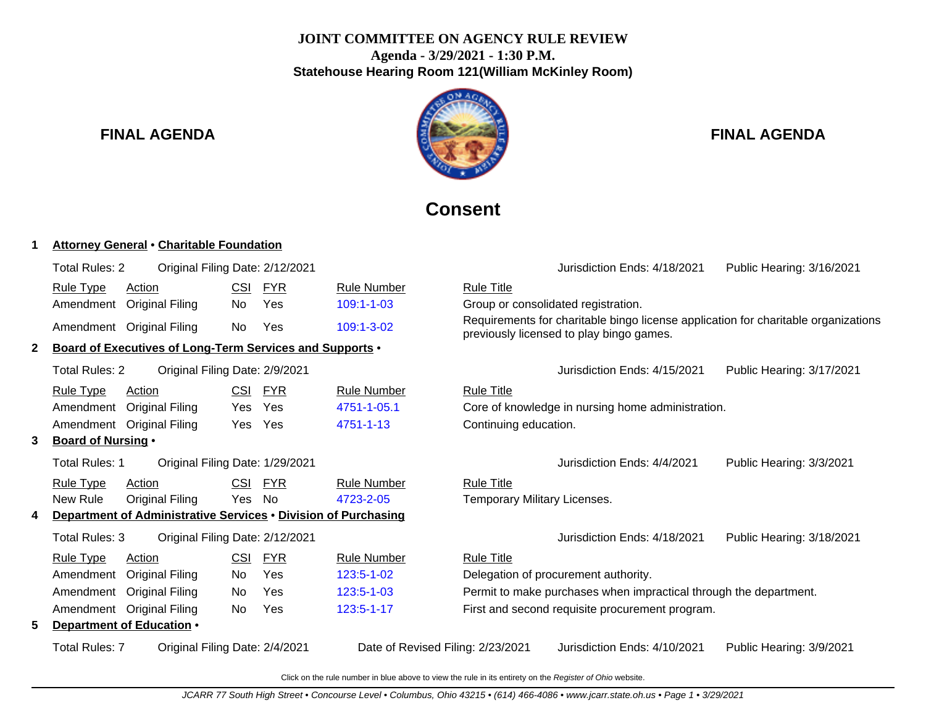# **JOINT COMMITTEE ON AGENCY RULE REVIEW Agenda - 3/29/2021 - 1:30 P.M. Statehouse Hearing Room 121(William McKinley Room)**



# **FINAL AGENDA FINAL AGENDA**

# **Consent**

### **1 Attorney General** • **Charitable Foundation**

|                                                         | Total Rules: 2                                                   | Original Filing Date: 2/12/2021                                |            |            |                                   |                                                   | Jurisdiction Ends: 4/18/2021                                                                                                   | Public Hearing: 3/16/2021 |
|---------------------------------------------------------|------------------------------------------------------------------|----------------------------------------------------------------|------------|------------|-----------------------------------|---------------------------------------------------|--------------------------------------------------------------------------------------------------------------------------------|---------------------------|
|                                                         | <b>Rule Type</b>                                                 | Action                                                         | CSI        | <b>FYR</b> | <b>Rule Number</b>                | <b>Rule Title</b>                                 |                                                                                                                                |                           |
|                                                         | Amendment                                                        | <b>Original Filing</b>                                         | No         | Yes        | 109:1-1-03                        |                                                   | Group or consolidated registration.                                                                                            |                           |
|                                                         |                                                                  | Amendment Original Filing                                      | No.        | Yes        | 109:1-3-02                        |                                                   | Requirements for charitable bingo license application for charitable organizations<br>previously licensed to play bingo games. |                           |
| $\mathbf{2}$                                            |                                                                  | Board of Executives of Long-Term Services and Supports .       |            |            |                                   |                                                   |                                                                                                                                |                           |
|                                                         | Total Rules: 2                                                   | Original Filing Date: 2/9/2021                                 |            |            |                                   |                                                   | Jurisdiction Ends: 4/15/2021                                                                                                   | Public Hearing: 3/17/2021 |
|                                                         | <b>Rule Type</b>                                                 | Action                                                         | CSI        | <b>FYR</b> | <b>Rule Number</b>                | <b>Rule Title</b>                                 |                                                                                                                                |                           |
|                                                         | Yes<br>4751-1-05.1<br>Amendment<br><b>Original Filing</b><br>Yes |                                                                |            |            |                                   | Core of knowledge in nursing home administration. |                                                                                                                                |                           |
|                                                         |                                                                  | Amendment Original Filing                                      | Yes        | Yes        | 4751-1-13                         | Continuing education.                             |                                                                                                                                |                           |
| 3                                                       | <b>Board of Nursing •</b>                                        |                                                                |            |            |                                   |                                                   |                                                                                                                                |                           |
|                                                         | Total Rules: 1<br>Original Filing Date: 1/29/2021                |                                                                |            |            |                                   |                                                   | Jurisdiction Ends: 4/4/2021                                                                                                    | Public Hearing: 3/3/2021  |
|                                                         | <b>Rule Type</b>                                                 | <b>Action</b>                                                  | <u>CSI</u> | <b>FYR</b> | <b>Rule Number</b>                | <b>Rule Title</b>                                 |                                                                                                                                |                           |
|                                                         | New Rule                                                         | Original Filing                                                | Yes        | No         | 4723-2-05                         | Temporary Military Licenses.                      |                                                                                                                                |                           |
| 4                                                       |                                                                  | Department of Administrative Services . Division of Purchasing |            |            |                                   |                                                   |                                                                                                                                |                           |
|                                                         | Total Rules: 3                                                   | Original Filing Date: 2/12/2021                                |            |            |                                   |                                                   | Jurisdiction Ends: 4/18/2021                                                                                                   | Public Hearing: 3/18/2021 |
|                                                         | <b>Rule Type</b>                                                 | Action                                                         | CSI        | <b>FYR</b> | <b>Rule Number</b>                | <b>Rule Title</b>                                 |                                                                                                                                |                           |
|                                                         | Amendment                                                        | <b>Original Filing</b>                                         | No.        | Yes        | 123:5-1-02                        |                                                   | Delegation of procurement authority.                                                                                           |                           |
|                                                         | Amendment                                                        | <b>Original Filing</b>                                         | No         | Yes        | 123:5-1-03                        |                                                   | Permit to make purchases when impractical through the department.                                                              |                           |
|                                                         |                                                                  | Amendment Original Filing                                      | No         | Yes        | 123:5-1-17                        |                                                   | First and second requisite procurement program.                                                                                |                           |
| 5.                                                      |                                                                  | Department of Education .                                      |            |            |                                   |                                                   |                                                                                                                                |                           |
| <b>Total Rules: 7</b><br>Original Filing Date: 2/4/2021 |                                                                  |                                                                |            |            | Date of Revised Filing: 2/23/2021 |                                                   | Jurisdiction Ends: 4/10/2021                                                                                                   | Public Hearing: 3/9/2021  |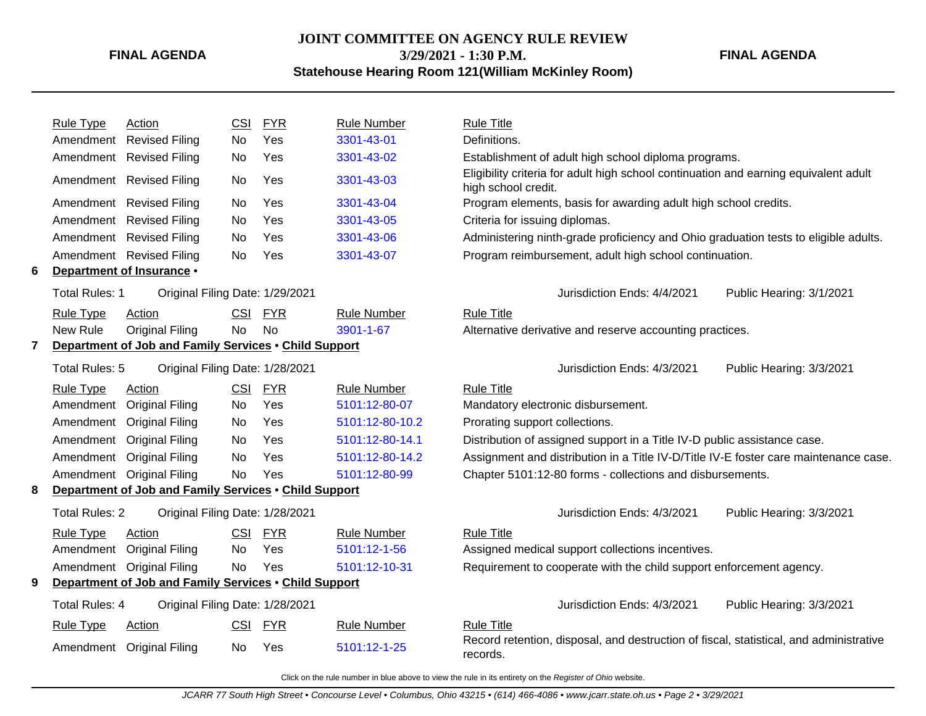### **JOINT COMMITTEE ON AGENCY RULE REVIEW 3/29/2021 - 1:30 P.M. Statehouse Hearing Room 121(William McKinley Room)**

**FINAL AGENDA**

|   | <b>Rule Type</b>                                      | Action                                                | <b>CSI</b> | <b>FYR</b> | <b>Rule Number</b> | <b>Rule Title</b>                                                                                           |
|---|-------------------------------------------------------|-------------------------------------------------------|------------|------------|--------------------|-------------------------------------------------------------------------------------------------------------|
|   | Amendment                                             | <b>Revised Filing</b>                                 | No         | Yes        | 3301-43-01         | Definitions.                                                                                                |
|   |                                                       | Amendment Revised Filing                              | No         | Yes        | 3301-43-02         | Establishment of adult high school diploma programs.                                                        |
|   |                                                       | Amendment Revised Filing                              | No         | Yes        | 3301-43-03         | Eligibility criteria for adult high school continuation and earning equivalent adult<br>high school credit. |
|   |                                                       | Amendment Revised Filing                              | No         | Yes        | 3301-43-04         | Program elements, basis for awarding adult high school credits.                                             |
|   |                                                       | Amendment Revised Filing                              | No         | Yes        | 3301-43-05         | Criteria for issuing diplomas.                                                                              |
|   |                                                       | Amendment Revised Filing                              | No.        | Yes        | 3301-43-06         | Administering ninth-grade proficiency and Ohio graduation tests to eligible adults.                         |
|   |                                                       | Amendment Revised Filing                              | No         | Yes        | 3301-43-07         | Program reimbursement, adult high school continuation.                                                      |
| 6 |                                                       | Department of Insurance .                             |            |            |                    |                                                                                                             |
|   | <b>Total Rules: 1</b>                                 | Original Filing Date: 1/29/2021                       |            |            |                    | Jurisdiction Ends: 4/4/2021<br>Public Hearing: 3/1/2021                                                     |
|   | <b>Rule Type</b>                                      | Action                                                | <b>CSI</b> | <b>FYR</b> | <b>Rule Number</b> | <b>Rule Title</b>                                                                                           |
|   | New Rule                                              | <b>Original Filing</b>                                | <b>No</b>  | <b>No</b>  | 3901-1-67          | Alternative derivative and reserve accounting practices.                                                    |
| 7 | Department of Job and Family Services . Child Support |                                                       |            |            |                    |                                                                                                             |
|   | Total Rules: 5                                        | Original Filing Date: 1/28/2021                       |            |            |                    | Jurisdiction Ends: 4/3/2021<br>Public Hearing: 3/3/2021                                                     |
|   | <b>Rule Type</b>                                      | Action                                                | <b>CSI</b> | <b>FYR</b> | <b>Rule Number</b> | <b>Rule Title</b>                                                                                           |
|   | Amendment                                             | <b>Original Filing</b>                                | No.        | Yes        | 5101:12-80-07      | Mandatory electronic disbursement.                                                                          |
|   | Amendment                                             | <b>Original Filing</b>                                | No         | Yes        | 5101:12-80-10.2    | Prorating support collections.                                                                              |
|   |                                                       | Amendment Original Filing                             | No         | <b>Yes</b> | 5101:12-80-14.1    | Distribution of assigned support in a Title IV-D public assistance case.                                    |
|   | Amendment                                             | <b>Original Filing</b>                                | No         | Yes        | 5101:12-80-14.2    | Assignment and distribution in a Title IV-D/Title IV-E foster care maintenance case.                        |
|   |                                                       | Amendment Original Filing                             | No         | Yes        | 5101:12-80-99      | Chapter 5101:12-80 forms - collections and disbursements.                                                   |
| 8 |                                                       | Department of Job and Family Services . Child Support |            |            |                    |                                                                                                             |
|   | <b>Total Rules: 2</b>                                 | Original Filing Date: 1/28/2021                       |            |            |                    | Jurisdiction Ends: 4/3/2021<br>Public Hearing: 3/3/2021                                                     |
|   | <b>Rule Type</b>                                      | Action                                                | <b>CSI</b> | <b>FYR</b> | <b>Rule Number</b> | <b>Rule Title</b>                                                                                           |
|   | Amendment                                             | <b>Original Filing</b>                                | No         | Yes        | 5101:12-1-56       | Assigned medical support collections incentives.                                                            |
|   |                                                       | Amendment Original Filing                             | <b>No</b>  | Yes        | 5101:12-10-31      | Requirement to cooperate with the child support enforcement agency.                                         |
| 9 |                                                       | Department of Job and Family Services . Child Support |            |            |                    |                                                                                                             |
|   | Total Rules: 4                                        | Original Filing Date: 1/28/2021                       |            |            |                    | Jurisdiction Ends: 4/3/2021<br>Public Hearing: 3/3/2021                                                     |
|   | <b>Rule Type</b>                                      | Action                                                | <b>CSI</b> | <b>FYR</b> | <b>Rule Number</b> | <b>Rule Title</b>                                                                                           |
|   |                                                       | Amendment Original Filing                             | No         | Yes        | 5101:12-1-25       | Record retention, disposal, and destruction of fiscal, statistical, and administrative<br>records.          |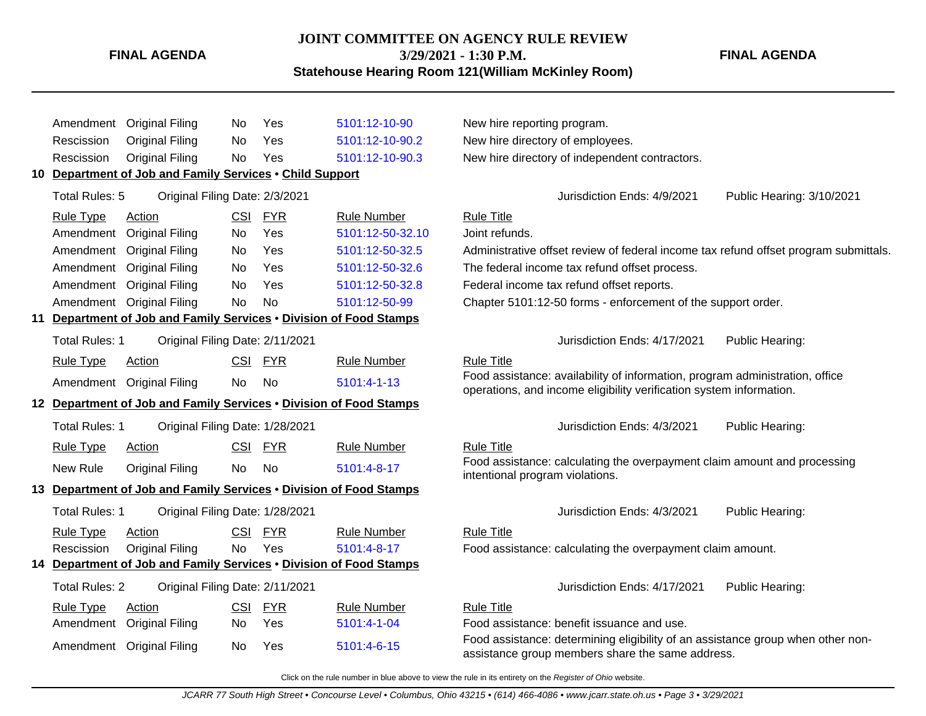## **JOINT COMMITTEE ON AGENCY RULE REVIEW 3/29/2021 - 1:30 P.M.**

**Statehouse Hearing Room 121(William McKinley Room)**

Amendment Original Filing No Yes [5101:12-10-90](http://www.registerofohio.state.oh.us/jsps/publicdisplayrules/processPublicDisplayRules.jsp?entered_rule_no=5101:12-10-90&doWhat=GETBYRULENUM&raID=0) New hire reporting program. Rescission Original Filing No Yes [5101:12-10-90.2](http://www.registerofohio.state.oh.us/jsps/publicdisplayrules/processPublicDisplayRules.jsp?entered_rule_no=5101:12-10-90.2&doWhat=GETBYRULENUM&raID=0) New hire directory of employees. Rescission Original Filing No Yes [5101:12-10-90.3](http://www.registerofohio.state.oh.us/jsps/publicdisplayrules/processPublicDisplayRules.jsp?entered_rule_no=5101:12-10-90.3&doWhat=GETBYRULENUM&raID=0) New hire directory of independent contractors. **10 Department of Job and Family Services** • **Child Support** Total Rules: 5 Original Filing Date: 2/3/2021 Jurisdiction Ends: 4/9/2021 Public Hearing: 3/10/2021 Rule Type Action **CSI FYR** Rule Number Rule Title Amendment Original Filing No Yes [5101:12-50-32.10](http://www.registerofohio.state.oh.us/jsps/publicdisplayrules/processPublicDisplayRules.jsp?entered_rule_no=5101:12-50-32.10&doWhat=GETBYRULENUM&raID=0) Joint refunds. Amendment Original Filing No Yes [5101:12-50-32.5](http://www.registerofohio.state.oh.us/jsps/publicdisplayrules/processPublicDisplayRules.jsp?entered_rule_no=5101:12-50-32.5&doWhat=GETBYRULENUM&raID=0) Administrative offset review of federal income tax refund offset program submittals. Amendment Original Filing No Yes [5101:12-50-32.6](http://www.registerofohio.state.oh.us/jsps/publicdisplayrules/processPublicDisplayRules.jsp?entered_rule_no=5101:12-50-32.6&doWhat=GETBYRULENUM&raID=0) The federal income tax refund offset process. Amendment Original Filing No Yes [5101:12-50-32.8](http://www.registerofohio.state.oh.us/jsps/publicdisplayrules/processPublicDisplayRules.jsp?entered_rule_no=5101:12-50-32.8&doWhat=GETBYRULENUM&raID=0) Federal income tax refund offset reports. Amendment Original Filing No No [5101:12-50-99](http://www.registerofohio.state.oh.us/jsps/publicdisplayrules/processPublicDisplayRules.jsp?entered_rule_no=5101:12-50-99&doWhat=GETBYRULENUM&raID=0) Chapter 5101:12-50 forms - enforcement of the support order. **11 Department of Job and Family Services** • **Division of Food Stamps** Total Rules: 1 Original Filing Date: 2/11/2021 **Communist Communist Communist Communist Communist Communist Communist Communist Communist Communist Communist Communist Communist Communist Communist Communist Communist Comm** Rule Type Action CSI FYR Rule Number Rule Title Amendment Original Filing No No [5101:4-1-13](http://www.registerofohio.state.oh.us/jsps/publicdisplayrules/processPublicDisplayRules.jsp?entered_rule_no=5101:4-1-13&doWhat=GETBYRULENUM&raID=0) Food assistance: availability of information, program administration, office operations, and income eligibility verification system information. **12 Department of Job and Family Services** • **Division of Food Stamps** Total Rules: 1 Original Filing Date: 1/28/2021 **Contained Accord Public Heart Accord Public Heart Accord Public Hearing:** Rule Type Action **CSI FYR** Rule Number Rule Title New Rule Original Filing No No [5101:4-8-17](http://www.registerofohio.state.oh.us/jsps/publicdisplayrules/processPublicDisplayRules.jsp?entered_rule_no=5101:4-8-17&doWhat=GETBYRULENUM&raID=0) Food assistance: calculating the overpayment claim amount and processing intentional program violations. **13 Department of Job and Family Services** • **Division of Food Stamps** Total Rules: 1 Original Filing Date: 1/28/2021 **Contained Accord Public Heart Contained Accord Public Hearing:** Total Rules: 4/3/2021 Public Hearing: Rule Type Action **CSI FYR** Rule Number Rule Title Rescission Original Filing No Yes [5101:4-8-17](http://www.registerofohio.state.oh.us/jsps/publicdisplayrules/processPublicDisplayRules.jsp?entered_rule_no=5101:4-8-17&doWhat=GETBYRULENUM&raID=0) Food assistance: calculating the overpayment claim amount. **14 Department of Job and Family Services** • **Division of Food Stamps** Total Rules: 2 Original Filing Date: 2/11/2021 **Contained Accord Public Heart Containers** Jurisdiction Ends: 4/17/2021 Public Hearing: Rule Type Action **CSI FYR** Rule Number Rule Title Amendment Original Filing No Yes [5101:4-1-04](http://www.registerofohio.state.oh.us/jsps/publicdisplayrules/processPublicDisplayRules.jsp?entered_rule_no=5101:4-1-04&doWhat=GETBYRULENUM&raID=0) Food assistance: benefit issuance and use. Amendment Original Filing No Yes [5101:4-6-15](http://www.registerofohio.state.oh.us/jsps/publicdisplayrules/processPublicDisplayRules.jsp?entered_rule_no=5101:4-6-15&doWhat=GETBYRULENUM&raID=0) Food assistance: determining eligibility of an assistance group when other nonassistance group members share the same address.

Click on the rule number in blue above to view the rule in its entirety on the Register of Ohio website.

**FINAL AGENDA**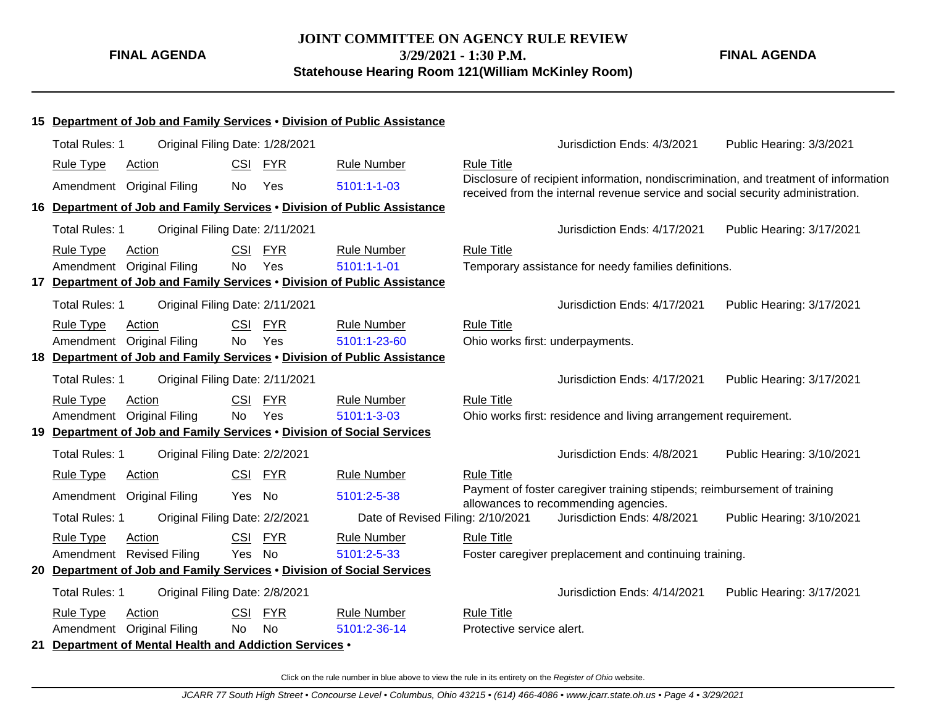**FINAL AGENDA**

|    |                       |                                                         |            |            | 15 Department of Job and Family Services . Division of Public Assistance |                                  |                                                                                                                  |                                                                                      |
|----|-----------------------|---------------------------------------------------------|------------|------------|--------------------------------------------------------------------------|----------------------------------|------------------------------------------------------------------------------------------------------------------|--------------------------------------------------------------------------------------|
|    | <b>Total Rules: 1</b> | Original Filing Date: 1/28/2021                         |            |            |                                                                          |                                  | Jurisdiction Ends: 4/3/2021                                                                                      | Public Hearing: 3/3/2021                                                             |
|    | <b>Rule Type</b>      | Action                                                  | <b>CSI</b> | <b>FYR</b> | <b>Rule Number</b>                                                       | <b>Rule Title</b>                |                                                                                                                  |                                                                                      |
|    |                       | Amendment Original Filing                               | No         | Yes        | 5101:1-1-03                                                              |                                  |                                                                                                                  | Disclosure of recipient information, nondiscrimination, and treatment of information |
|    |                       |                                                         |            |            | 16 Department of Job and Family Services . Division of Public Assistance |                                  | received from the internal revenue service and social security administration.                                   |                                                                                      |
|    |                       |                                                         |            |            |                                                                          |                                  |                                                                                                                  |                                                                                      |
|    | <b>Total Rules: 1</b> | Original Filing Date: 2/11/2021                         |            |            |                                                                          |                                  | Jurisdiction Ends: 4/17/2021                                                                                     | Public Hearing: 3/17/2021                                                            |
|    | <b>Rule Type</b>      | Action                                                  | CSI        | <b>FYR</b> | <b>Rule Number</b>                                                       | <b>Rule Title</b>                |                                                                                                                  |                                                                                      |
|    | Amendment             | <b>Original Filing</b>                                  | No.        | Yes        | $5101:1 - 1 - 01$                                                        |                                  | Temporary assistance for needy families definitions.                                                             |                                                                                      |
|    |                       |                                                         |            |            | 17 Department of Job and Family Services . Division of Public Assistance |                                  |                                                                                                                  |                                                                                      |
|    | <b>Total Rules: 1</b> | Original Filing Date: 2/11/2021                         |            |            |                                                                          |                                  | Jurisdiction Ends: 4/17/2021                                                                                     | Public Hearing: 3/17/2021                                                            |
|    | <b>Rule Type</b>      | Action                                                  | <b>CSI</b> | <b>FYR</b> | <b>Rule Number</b>                                                       | <b>Rule Title</b>                |                                                                                                                  |                                                                                      |
|    | Amendment             | <b>Original Filing</b>                                  | No         | Yes        | 5101:1-23-60                                                             | Ohio works first: underpayments. |                                                                                                                  |                                                                                      |
|    |                       |                                                         |            |            | 18 Department of Job and Family Services . Division of Public Assistance |                                  |                                                                                                                  |                                                                                      |
|    | Total Rules: 1        | Original Filing Date: 2/11/2021                         |            |            |                                                                          |                                  | Jurisdiction Ends: 4/17/2021                                                                                     | Public Hearing: 3/17/2021                                                            |
|    | <b>Rule Type</b>      | Action                                                  | <b>CSI</b> | <b>FYR</b> | <b>Rule Number</b>                                                       | <b>Rule Title</b>                |                                                                                                                  |                                                                                      |
|    | Amendment             | <b>Original Filing</b>                                  | <b>No</b>  | Yes        | 5101:1-3-03                                                              |                                  | Ohio works first: residence and living arrangement requirement.                                                  |                                                                                      |
|    |                       |                                                         |            |            | 19 Department of Job and Family Services . Division of Social Services   |                                  |                                                                                                                  |                                                                                      |
|    | <b>Total Rules: 1</b> | Original Filing Date: 2/2/2021                          |            |            |                                                                          |                                  | Jurisdiction Ends: 4/8/2021                                                                                      | Public Hearing: 3/10/2021                                                            |
|    | <b>Rule Type</b>      | Action                                                  | <b>CSI</b> | <b>FYR</b> | <b>Rule Number</b>                                                       | <b>Rule Title</b>                |                                                                                                                  |                                                                                      |
|    | Amendment             | <b>Original Filing</b>                                  | Yes        | No         | 5101:2-5-38                                                              |                                  | Payment of foster caregiver training stipends; reimbursement of training<br>allowances to recommending agencies. |                                                                                      |
|    | <b>Total Rules: 1</b> | Original Filing Date: 2/2/2021                          |            |            | Date of Revised Filing: 2/10/2021                                        |                                  | Jurisdiction Ends: 4/8/2021                                                                                      | Public Hearing: 3/10/2021                                                            |
|    | <b>Rule Type</b>      | Action                                                  | <b>CSI</b> | <b>FYR</b> | <b>Rule Number</b>                                                       | <b>Rule Title</b>                |                                                                                                                  |                                                                                      |
|    |                       | Amendment Revised Filing                                | Yes        | <b>No</b>  | 5101:2-5-33                                                              |                                  | Foster caregiver preplacement and continuing training.                                                           |                                                                                      |
| 20 |                       |                                                         |            |            | Department of Job and Family Services . Division of Social Services      |                                  |                                                                                                                  |                                                                                      |
|    | <b>Total Rules: 1</b> | Original Filing Date: 2/8/2021                          |            |            |                                                                          |                                  | Jurisdiction Ends: 4/14/2021                                                                                     | Public Hearing: 3/17/2021                                                            |
|    | <b>Rule Type</b>      | Action                                                  | <b>CSI</b> | <b>FYR</b> | <b>Rule Number</b>                                                       | <b>Rule Title</b>                |                                                                                                                  |                                                                                      |
|    | Amendment             | <b>Original Filing</b>                                  | <b>No</b>  | <b>No</b>  | 5101:2-36-14                                                             | Protective service alert.        |                                                                                                                  |                                                                                      |
|    |                       | 21 Department of Mental Health and Addiction Services . |            |            |                                                                          |                                  |                                                                                                                  |                                                                                      |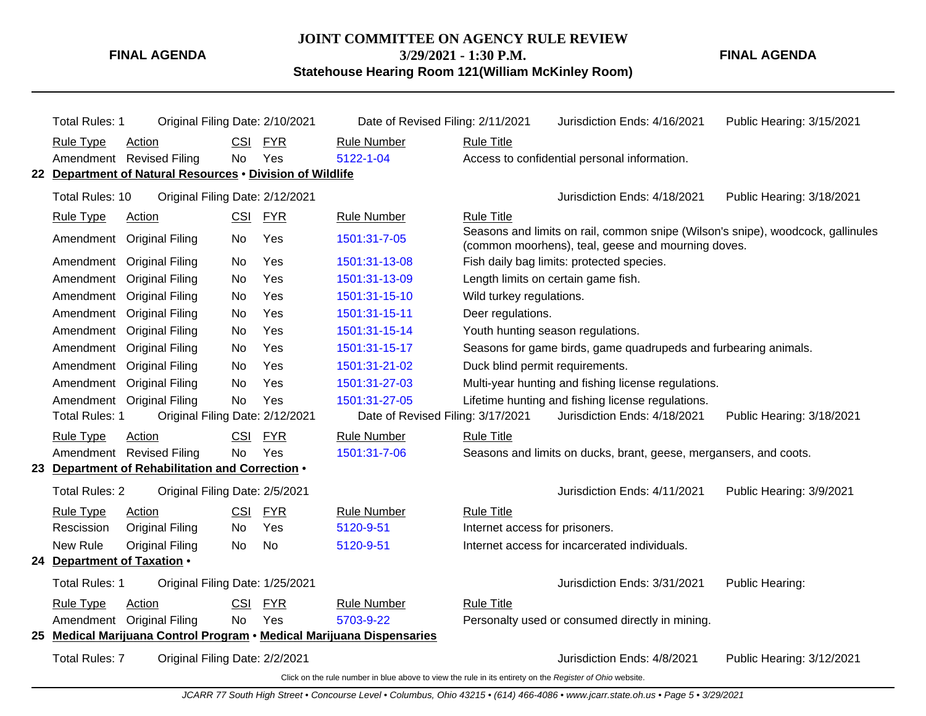# **JOINT COMMITTEE ON AGENCY RULE REVIEW**

**3/29/2021 - 1:30 P.M.**

**Statehouse Hearing Room 121(William McKinley Room)**

**FINAL AGENDA**

| Total Rules: 1                                                        | Original Filing Date: 2/10/2021 | Date of Revised Filing: 2/11/2021                                                                        |                                                                   | Jurisdiction Ends: 4/16/2021                                                                                                          | Public Hearing: 3/15/2021 |
|-----------------------------------------------------------------------|---------------------------------|----------------------------------------------------------------------------------------------------------|-------------------------------------------------------------------|---------------------------------------------------------------------------------------------------------------------------------------|---------------------------|
| <b>Rule Type</b><br>Action                                            | CSI FYR                         | <b>Rule Number</b>                                                                                       | <b>Rule Title</b>                                                 |                                                                                                                                       |                           |
| Amendment Revised Filing                                              | No.<br>Yes                      | 5122-1-04                                                                                                |                                                                   | Access to confidential personal information.                                                                                          |                           |
| 22 Department of Natural Resources . Division of Wildlife             |                                 |                                                                                                          |                                                                   |                                                                                                                                       |                           |
| Total Rules: 10                                                       | Original Filing Date: 2/12/2021 |                                                                                                          |                                                                   | Jurisdiction Ends: 4/18/2021                                                                                                          | Public Hearing: 3/18/2021 |
| <b>Rule Type</b><br>Action                                            | CSI FYR                         | <b>Rule Number</b>                                                                                       | <b>Rule Title</b>                                                 |                                                                                                                                       |                           |
| Amendment<br><b>Original Filing</b>                                   | Yes<br>No                       | 1501:31-7-05                                                                                             |                                                                   | Seasons and limits on rail, common snipe (Wilson's snipe), woodcock, gallinules<br>(common moorhens), teal, geese and mourning doves. |                           |
| Amendment<br><b>Original Filing</b>                                   | Yes<br><b>No</b>                | 1501:31-13-08                                                                                            |                                                                   | Fish daily bag limits: protected species.                                                                                             |                           |
| <b>Original Filing</b><br>Amendment                                   | Yes<br><b>No</b>                | 1501:31-13-09                                                                                            |                                                                   | Length limits on certain game fish.                                                                                                   |                           |
| <b>Original Filing</b><br>Amendment                                   | Yes<br><b>No</b>                | 1501:31-15-10                                                                                            | Wild turkey regulations.                                          |                                                                                                                                       |                           |
| Amendment<br><b>Original Filing</b>                                   | Yes<br><b>No</b>                | 1501:31-15-11                                                                                            | Deer regulations.                                                 |                                                                                                                                       |                           |
| <b>Original Filing</b><br>Amendment                                   | Yes<br><b>No</b>                | 1501:31-15-14                                                                                            |                                                                   | Youth hunting season regulations.                                                                                                     |                           |
| <b>Original Filing</b><br>Amendment                                   | Yes<br><b>No</b>                | 1501:31-15-17                                                                                            |                                                                   | Seasons for game birds, game quadrupeds and furbearing animals.                                                                       |                           |
| Amendment<br><b>Original Filing</b>                                   | Yes<br>No                       | 1501:31-21-02                                                                                            | Duck blind permit requirements.                                   |                                                                                                                                       |                           |
| <b>Original Filing</b><br>Amendment                                   | Yes<br><b>No</b>                | 1501:31-27-03                                                                                            |                                                                   | Multi-year hunting and fishing license regulations.                                                                                   |                           |
| Amendment Original Filing                                             | <b>No</b><br>Yes                | 1501:31-27-05                                                                                            |                                                                   | Lifetime hunting and fishing license regulations.                                                                                     |                           |
| Total Rules: 1                                                        | Original Filing Date: 2/12/2021 | Date of Revised Filing: 3/17/2021                                                                        |                                                                   | Jurisdiction Ends: 4/18/2021                                                                                                          | Public Hearing: 3/18/2021 |
| <b>Rule Type</b><br>Action                                            | <b>CSI</b><br><b>FYR</b>        | <b>Rule Number</b>                                                                                       | <b>Rule Title</b>                                                 |                                                                                                                                       |                           |
| Amendment Revised Filing                                              | Yes<br><b>No</b>                | 1501:31-7-06                                                                                             | Seasons and limits on ducks, brant, geese, mergansers, and coots. |                                                                                                                                       |                           |
| 23 Department of Rehabilitation and Correction .                      |                                 |                                                                                                          |                                                                   |                                                                                                                                       |                           |
| <b>Total Rules: 2</b>                                                 | Original Filing Date: 2/5/2021  |                                                                                                          |                                                                   | Jurisdiction Ends: 4/11/2021                                                                                                          | Public Hearing: 3/9/2021  |
| <b>Rule Type</b><br>Action                                            | CSI FYR                         | <b>Rule Number</b>                                                                                       | <b>Rule Title</b>                                                 |                                                                                                                                       |                           |
| Rescission<br><b>Original Filing</b>                                  | Yes<br><b>No</b>                | 5120-9-51                                                                                                | Internet access for prisoners.                                    |                                                                                                                                       |                           |
| New Rule<br><b>Original Filing</b>                                    | <b>No</b><br><b>No</b>          | 5120-9-51                                                                                                |                                                                   | Internet access for incarcerated individuals.                                                                                         |                           |
| 24 Department of Taxation .                                           |                                 |                                                                                                          |                                                                   |                                                                                                                                       |                           |
| Total Rules: 1                                                        | Original Filing Date: 1/25/2021 |                                                                                                          |                                                                   | Jurisdiction Ends: 3/31/2021                                                                                                          | Public Hearing:           |
| Rule Type<br>Action                                                   | <b>CSI</b><br><b>FYR</b>        | <b>Rule Number</b>                                                                                       | <b>Rule Title</b>                                                 |                                                                                                                                       |                           |
| Amendment Original Filing                                             | No<br>Yes                       | 5703-9-22                                                                                                |                                                                   | Personalty used or consumed directly in mining.                                                                                       |                           |
| 25 Medical Marijuana Control Program • Medical Marijuana Dispensaries |                                 |                                                                                                          |                                                                   |                                                                                                                                       |                           |
| <b>Total Rules: 7</b>                                                 | Original Filing Date: 2/2/2021  |                                                                                                          |                                                                   | Jurisdiction Ends: 4/8/2021                                                                                                           | Public Hearing: 3/12/2021 |
|                                                                       |                                 | Click on the rule number in blue above to view the rule in its entirety on the Register of Ohio website. |                                                                   |                                                                                                                                       |                           |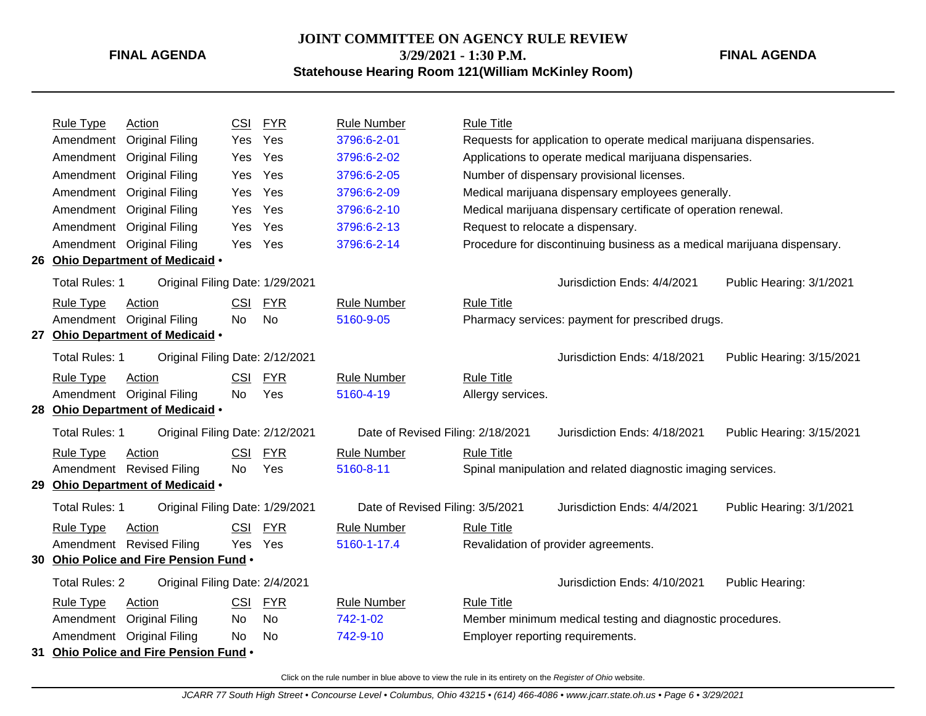# **JOINT COMMITTEE ON AGENCY RULE REVIEW 3/29/2021 - 1:30 P.M.**

### **FINAL AGENDA**

**Statehouse Hearing Room 121(William McKinley Room)**

| <b>Rule Type</b>      | Action                                 | <b>CSI</b> | <b>FYR</b> | <b>Rule Number</b>                | <b>Rule Title</b> |                                                                         |                           |
|-----------------------|----------------------------------------|------------|------------|-----------------------------------|-------------------|-------------------------------------------------------------------------|---------------------------|
| Amendment             | <b>Original Filing</b>                 | Yes        | Yes        | 3796:6-2-01                       |                   | Requests for application to operate medical marijuana dispensaries.     |                           |
| Amendment             | <b>Original Filing</b>                 | <b>Yes</b> | Yes        | 3796:6-2-02                       |                   | Applications to operate medical marijuana dispensaries.                 |                           |
| Amendment             | <b>Original Filing</b>                 | Yes        | Yes        | 3796:6-2-05                       |                   | Number of dispensary provisional licenses.                              |                           |
| Amendment             | <b>Original Filing</b>                 | Yes        | Yes        | 3796:6-2-09                       |                   | Medical marijuana dispensary employees generally.                       |                           |
| Amendment             | <b>Original Filing</b>                 | Yes        | Yes        | 3796:6-2-10                       |                   | Medical marijuana dispensary certificate of operation renewal.          |                           |
| Amendment             | <b>Original Filing</b>                 | <b>Yes</b> | Yes        | 3796:6-2-13                       |                   | Request to relocate a dispensary.                                       |                           |
| Amendment             | <b>Original Filing</b>                 | Yes        | Yes        | 3796:6-2-14                       |                   | Procedure for discontinuing business as a medical marijuana dispensary. |                           |
|                       | 26 Ohio Department of Medicaid .       |            |            |                                   |                   |                                                                         |                           |
| Total Rules: 1        | Original Filing Date: 1/29/2021        |            |            |                                   |                   | Jurisdiction Ends: 4/4/2021                                             | Public Hearing: 3/1/2021  |
| <b>Rule Type</b>      | Action                                 | <b>CSI</b> | <b>FYR</b> | <b>Rule Number</b>                | <b>Rule Title</b> |                                                                         |                           |
| Amendment             | <b>Original Filing</b>                 | <b>No</b>  | <b>No</b>  | 5160-9-05                         |                   | Pharmacy services: payment for prescribed drugs.                        |                           |
|                       | 27 Ohio Department of Medicaid .       |            |            |                                   |                   |                                                                         |                           |
| Total Rules: 1        | Original Filing Date: 2/12/2021        |            |            |                                   |                   | Jurisdiction Ends: 4/18/2021                                            | Public Hearing: 3/15/2021 |
| <b>Rule Type</b>      | Action                                 | <b>CSI</b> | <b>FYR</b> | <b>Rule Number</b>                | <b>Rule Title</b> |                                                                         |                           |
| Amendment             | <b>Original Filing</b>                 | No         | Yes        | 5160-4-19                         | Allergy services. |                                                                         |                           |
|                       | 28 Ohio Department of Medicaid .       |            |            |                                   |                   |                                                                         |                           |
| Total Rules: 1        | Original Filing Date: 2/12/2021        |            |            | Date of Revised Filing: 2/18/2021 |                   | Jurisdiction Ends: 4/18/2021                                            | Public Hearing: 3/15/2021 |
| <b>Rule Type</b>      | Action                                 | <b>CSI</b> | <b>FYR</b> | <b>Rule Number</b>                | <b>Rule Title</b> |                                                                         |                           |
|                       | Amendment Revised Filing               | No.        | Yes        | 5160-8-11                         |                   | Spinal manipulation and related diagnostic imaging services.            |                           |
|                       | 29 Ohio Department of Medicaid .       |            |            |                                   |                   |                                                                         |                           |
| Total Rules: 1        | Original Filing Date: 1/29/2021        |            |            | Date of Revised Filing: 3/5/2021  |                   | Jurisdiction Ends: 4/4/2021                                             | Public Hearing: 3/1/2021  |
| <b>Rule Type</b>      | Action                                 | <b>CSI</b> | <b>FYR</b> | <b>Rule Number</b>                | <b>Rule Title</b> |                                                                         |                           |
|                       | Amendment Revised Filing               | Yes        | Yes        | 5160-1-17.4                       |                   | Revalidation of provider agreements.                                    |                           |
|                       | 30 Ohio Police and Fire Pension Fund . |            |            |                                   |                   |                                                                         |                           |
| <b>Total Rules: 2</b> | Original Filing Date: 2/4/2021         |            |            |                                   |                   | Jurisdiction Ends: 4/10/2021                                            | Public Hearing:           |
| <b>Rule Type</b>      | Action                                 | <b>CSI</b> | <b>FYR</b> | <b>Rule Number</b>                | <b>Rule Title</b> |                                                                         |                           |
| Amendment             | <b>Original Filing</b>                 | <b>No</b>  | <b>No</b>  | 742-1-02                          |                   | Member minimum medical testing and diagnostic procedures.               |                           |
| Amendment             | <b>Original Filing</b>                 | No         | <b>No</b>  | 742-9-10                          |                   | Employer reporting requirements.                                        |                           |
|                       | 31 Ohio Police and Fire Pension Fund . |            |            |                                   |                   |                                                                         |                           |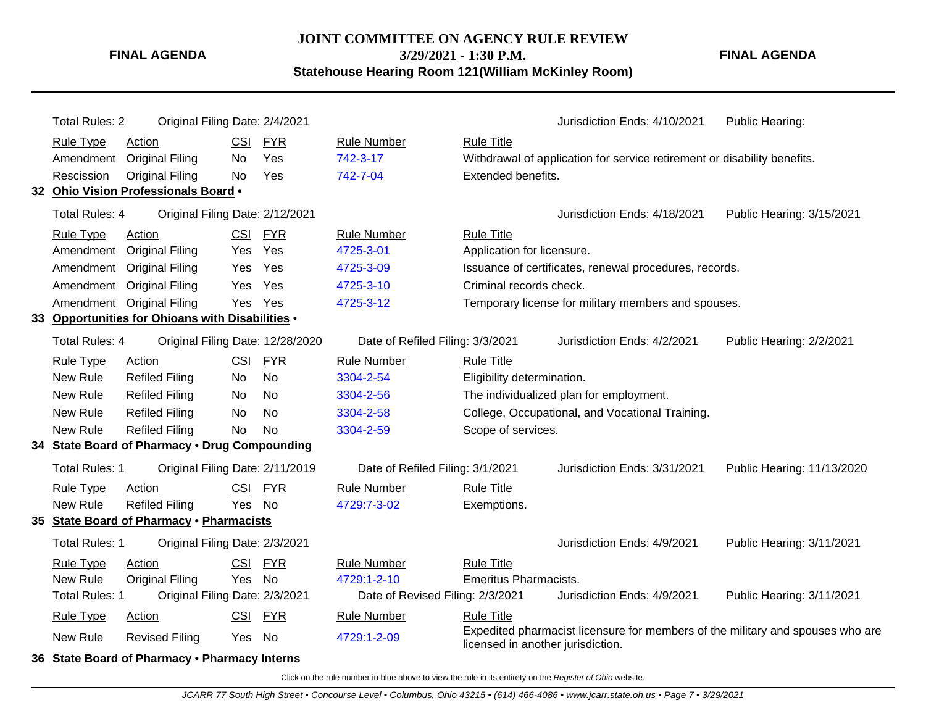### **JOINT COMMITTEE ON AGENCY RULE REVIEW 3/29/2021 - 1:30 P.M. Statehouse Hearing Room 121(William McKinley Room)**

**FINAL AGENDA**

| <b>Total Rules: 2</b> |                                                  | Original Filing Date: 2/4/2021 |                                  |                                  |                              | Jurisdiction Ends: 4/10/2021                                                                                        | Public Hearing:            |
|-----------------------|--------------------------------------------------|--------------------------------|----------------------------------|----------------------------------|------------------------------|---------------------------------------------------------------------------------------------------------------------|----------------------------|
| <b>Rule Type</b>      | Action                                           | <b>CSI</b>                     | <b>FYR</b>                       | <b>Rule Number</b>               | <b>Rule Title</b>            |                                                                                                                     |                            |
|                       | Amendment Original Filing                        | No                             | Yes                              | 742-3-17                         |                              | Withdrawal of application for service retirement or disability benefits.                                            |                            |
| Rescission            | <b>Original Filing</b>                           | No                             | Yes                              | 742-7-04                         | Extended benefits.           |                                                                                                                     |                            |
|                       | 32 Ohio Vision Professionals Board .             |                                |                                  |                                  |                              |                                                                                                                     |                            |
| <b>Total Rules: 4</b> |                                                  |                                | Original Filing Date: 2/12/2021  |                                  |                              | Jurisdiction Ends: 4/18/2021                                                                                        | Public Hearing: 3/15/2021  |
| <b>Rule Type</b>      | Action                                           | CSI FYR                        |                                  | <b>Rule Number</b>               | <b>Rule Title</b>            |                                                                                                                     |                            |
|                       | Amendment Original Filing                        | Yes                            | Yes                              | 4725-3-01                        | Application for licensure.   |                                                                                                                     |                            |
|                       | Amendment Original Filing                        | Yes                            | Yes                              | 4725-3-09                        |                              | Issuance of certificates, renewal procedures, records.                                                              |                            |
|                       | Amendment Original Filing                        | <b>Yes</b>                     | Yes                              | 4725-3-10                        | Criminal records check.      |                                                                                                                     |                            |
|                       | Amendment Original Filing                        | Yes                            | Yes                              | 4725-3-12                        |                              | Temporary license for military members and spouses.                                                                 |                            |
|                       | 33 Opportunities for Ohioans with Disabilities . |                                |                                  |                                  |                              |                                                                                                                     |                            |
| <b>Total Rules: 4</b> |                                                  |                                | Original Filing Date: 12/28/2020 | Date of Refiled Filing: 3/3/2021 |                              | Jurisdiction Ends: 4/2/2021                                                                                         | Public Hearing: 2/2/2021   |
| <b>Rule Type</b>      | Action                                           | <b>CSI</b>                     | <b>FYR</b>                       | <b>Rule Number</b>               | <b>Rule Title</b>            |                                                                                                                     |                            |
| New Rule              | <b>Refiled Filing</b>                            | No                             | <b>No</b>                        | 3304-2-54                        | Eligibility determination.   |                                                                                                                     |                            |
| New Rule              | <b>Refiled Filing</b>                            | No                             | No                               | 3304-2-56                        |                              | The individualized plan for employment.                                                                             |                            |
| New Rule              | <b>Refiled Filing</b>                            | No                             | <b>No</b>                        | 3304-2-58                        |                              | College, Occupational, and Vocational Training.                                                                     |                            |
| New Rule              | <b>Refiled Filing</b>                            | <b>No</b>                      | <b>No</b>                        | 3304-2-59                        | Scope of services.           |                                                                                                                     |                            |
|                       | 34 State Board of Pharmacy . Drug Compounding    |                                |                                  |                                  |                              |                                                                                                                     |                            |
| Total Rules: 1        |                                                  |                                | Original Filing Date: 2/11/2019  | Date of Refiled Filing: 3/1/2021 |                              | Jurisdiction Ends: 3/31/2021                                                                                        | Public Hearing: 11/13/2020 |
| <b>Rule Type</b>      | Action                                           | <b>CSI</b>                     | <b>FYR</b>                       | <b>Rule Number</b>               | <b>Rule Title</b>            |                                                                                                                     |                            |
| <b>New Rule</b>       | <b>Refiled Filing</b>                            | Yes                            | <b>No</b>                        | 4729:7-3-02                      | Exemptions.                  |                                                                                                                     |                            |
|                       | 35 State Board of Pharmacy . Pharmacists         |                                |                                  |                                  |                              |                                                                                                                     |                            |
| Total Rules: 1        |                                                  | Original Filing Date: 2/3/2021 |                                  |                                  |                              | Jurisdiction Ends: 4/9/2021                                                                                         | Public Hearing: 3/11/2021  |
| <b>Rule Type</b>      | Action                                           | <b>CSI</b>                     | <b>FYR</b>                       | <b>Rule Number</b>               | <b>Rule Title</b>            |                                                                                                                     |                            |
| New Rule              | <b>Original Filing</b>                           | Yes                            | No                               | 4729:1-2-10                      | <b>Emeritus Pharmacists.</b> |                                                                                                                     |                            |
| Total Rules: 1        |                                                  | Original Filing Date: 2/3/2021 |                                  | Date of Revised Filing: 2/3/2021 |                              | Jurisdiction Ends: 4/9/2021                                                                                         | Public Hearing: 3/11/2021  |
| <b>Rule Type</b>      | <b>Action</b>                                    | <b>CSI</b>                     | <b>FYR</b>                       | <b>Rule Number</b>               | <b>Rule Title</b>            |                                                                                                                     |                            |
| New Rule              | <b>Revised Filing</b>                            | Yes No                         |                                  | 4729:1-2-09                      |                              | Expedited pharmacist licensure for members of the military and spouses who are<br>licensed in another jurisdiction. |                            |
|                       | 36 State Board of Pharmacy . Pharmacy Interns    |                                |                                  |                                  |                              |                                                                                                                     |                            |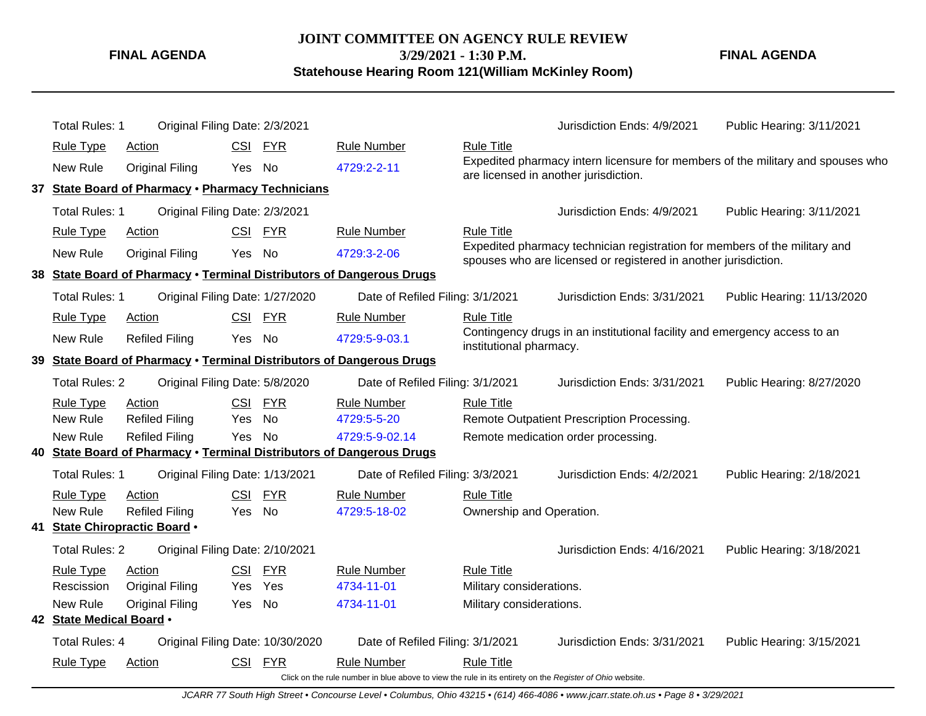**JOINT COMMITTEE ON AGENCY RULE REVIEW 3/29/2021 - 1:30 P.M. Statehouse Hearing Room 121(William McKinley Room)**

**FINAL AGENDA**

|                          | Total Rules: 1        |                            | Original Filing Date: 2/3/2021                    |                                                                                                          |                          | Jurisdiction Ends: 4/9/2021                                                                                                                   | Public Hearing: 3/11/2021  |  |
|--------------------------|-----------------------|----------------------------|---------------------------------------------------|----------------------------------------------------------------------------------------------------------|--------------------------|-----------------------------------------------------------------------------------------------------------------------------------------------|----------------------------|--|
|                          | <b>Rule Type</b>      | Action                     | CSI FYR                                           | <b>Rule Number</b>                                                                                       | <b>Rule Title</b>        |                                                                                                                                               |                            |  |
|                          | New Rule              | <b>Original Filing</b>     | Yes No                                            | 4729:2-2-11                                                                                              |                          | Expedited pharmacy intern licensure for members of the military and spouses who<br>are licensed in another jurisdiction.                      |                            |  |
|                          |                       |                            | 37 State Board of Pharmacy . Pharmacy Technicians |                                                                                                          |                          |                                                                                                                                               |                            |  |
|                          | Total Rules: 1        |                            | Original Filing Date: 2/3/2021                    |                                                                                                          |                          | Jurisdiction Ends: 4/9/2021                                                                                                                   | Public Hearing: 3/11/2021  |  |
|                          | <b>Rule Type</b>      | Action                     | CSI FYR                                           | <b>Rule Number</b>                                                                                       | <b>Rule Title</b>        |                                                                                                                                               |                            |  |
|                          | New Rule              | <b>Original Filing</b>     | No<br>Yes                                         | 4729:3-2-06                                                                                              |                          | Expedited pharmacy technician registration for members of the military and<br>spouses who are licensed or registered in another jurisdiction. |                            |  |
|                          |                       |                            |                                                   | 38 State Board of Pharmacy . Terminal Distributors of Dangerous Drugs                                    |                          |                                                                                                                                               |                            |  |
|                          | Total Rules: 1        |                            | Original Filing Date: 1/27/2020                   | Date of Refiled Filing: 3/1/2021                                                                         |                          | Jurisdiction Ends: 3/31/2021                                                                                                                  | Public Hearing: 11/13/2020 |  |
|                          | <b>Rule Type</b>      | Action                     | CSI FYR                                           | <b>Rule Number</b>                                                                                       | <b>Rule Title</b>        |                                                                                                                                               |                            |  |
|                          | New Rule              | <b>Refiled Filing</b>      | Yes No                                            | 4729:5-9-03.1                                                                                            | institutional pharmacy.  | Contingency drugs in an institutional facility and emergency access to an                                                                     |                            |  |
| 39                       |                       |                            |                                                   | <b>State Board of Pharmacy . Terminal Distributors of Dangerous Drugs</b>                                |                          |                                                                                                                                               |                            |  |
|                          | <b>Total Rules: 2</b> |                            | Original Filing Date: 5/8/2020                    | Date of Refiled Filing: 3/1/2021                                                                         |                          | Jurisdiction Ends: 3/31/2021                                                                                                                  | Public Hearing: 8/27/2020  |  |
|                          | <b>Rule Type</b>      | Action                     | CSI FYR                                           | <b>Rule Number</b>                                                                                       | <b>Rule Title</b>        |                                                                                                                                               |                            |  |
|                          | New Rule              | <b>Refiled Filing</b>      | No<br>Yes                                         | 4729:5-5-20                                                                                              |                          | Remote Outpatient Prescription Processing.                                                                                                    |                            |  |
|                          | New Rule              | <b>Refiled Filing</b>      | Yes No                                            | 4729:5-9-02.14                                                                                           |                          | Remote medication order processing.                                                                                                           |                            |  |
| 40.                      |                       |                            |                                                   | <b>State Board of Pharmacy . Terminal Distributors of Dangerous Drugs</b>                                |                          |                                                                                                                                               |                            |  |
|                          | Total Rules: 1        |                            | Original Filing Date: 1/13/2021                   | Date of Refiled Filing: 3/3/2021                                                                         |                          | Jurisdiction Ends: 4/2/2021                                                                                                                   | Public Hearing: 2/18/2021  |  |
|                          | <b>Rule Type</b>      | Action                     | <b>CSI</b><br><b>FYR</b>                          | <b>Rule Number</b>                                                                                       | <b>Rule Title</b>        |                                                                                                                                               |                            |  |
|                          | New Rule              | <b>Refiled Filing</b>      | No<br>Yes                                         | 4729:5-18-02                                                                                             | Ownership and Operation. |                                                                                                                                               |                            |  |
| 41                       |                       | State Chiropractic Board . |                                                   |                                                                                                          |                          |                                                                                                                                               |                            |  |
|                          | <b>Total Rules: 2</b> |                            | Original Filing Date: 2/10/2021                   |                                                                                                          |                          | Jurisdiction Ends: 4/16/2021                                                                                                                  | Public Hearing: 3/18/2021  |  |
|                          | <b>Rule Type</b>      | Action                     | CSI FYR                                           | <b>Rule Number</b>                                                                                       | <b>Rule Title</b>        |                                                                                                                                               |                            |  |
|                          | Rescission            | <b>Original Filing</b>     | Yes<br>Yes                                        | 4734-11-01                                                                                               | Military considerations. |                                                                                                                                               |                            |  |
|                          | New Rule              | <b>Original Filing</b>     | No<br>Yes                                         | 4734-11-01                                                                                               | Military considerations. |                                                                                                                                               |                            |  |
| 42 State Medical Board . |                       |                            |                                                   |                                                                                                          |                          |                                                                                                                                               |                            |  |
|                          | Total Rules: 4        |                            | Original Filing Date: 10/30/2020                  | Date of Refiled Filing: 3/1/2021                                                                         |                          | Jurisdiction Ends: 3/31/2021                                                                                                                  | Public Hearing: 3/15/2021  |  |
|                          | <b>Rule Type</b>      | <b>Action</b>              | CSI FYR                                           | <b>Rule Number</b>                                                                                       | <b>Rule Title</b>        |                                                                                                                                               |                            |  |
|                          |                       |                            |                                                   | Click on the rule number in blue above to view the rule in its entirety on the Register of Ohio website. |                          |                                                                                                                                               |                            |  |

JCARR 77 South High Street • Concourse Level • Columbus, Ohio 43215 • (614) 466-4086 • www.jcarr.state.oh.us • Page 8 • 3/29/2021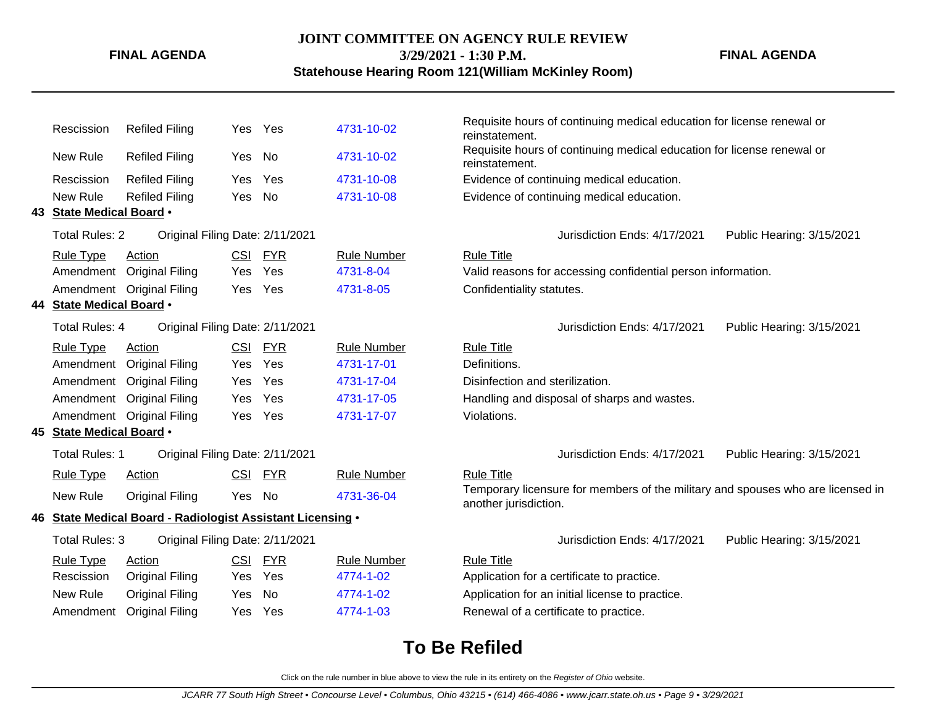## **JOINT COMMITTEE ON AGENCY RULE REVIEW**

**FINAL AGENDA**

### **3/29/2021 - 1:30 P.M. Statehouse Hearing Room 121(William McKinley Room)**

**FINAL AGENDA**

| Rescission               | <b>Refiled Filing</b>                                      | Yes        | Yes        | 4731-10-02         | Requisite hours of continuing medical education for license renewal or<br>reinstatement. |
|--------------------------|------------------------------------------------------------|------------|------------|--------------------|------------------------------------------------------------------------------------------|
| New Rule                 | <b>Refiled Filing</b>                                      | Yes        | No         | 4731-10-02         | Requisite hours of continuing medical education for license renewal or<br>reinstatement. |
| Rescission               | <b>Refiled Filing</b>                                      | Yes        | Yes        | 4731-10-08         | Evidence of continuing medical education.                                                |
| New Rule                 | <b>Refiled Filing</b>                                      | Yes        | <b>No</b>  | 4731-10-08         | Evidence of continuing medical education.                                                |
| 43 State Medical Board . |                                                            |            |            |                    |                                                                                          |
| <b>Total Rules: 2</b>    | Original Filing Date: 2/11/2021                            |            |            |                    | Jurisdiction Ends: 4/17/2021<br>Public Hearing: 3/15/2021                                |
| <b>Rule Type</b>         | Action                                                     | <b>CSI</b> | <b>FYR</b> | <b>Rule Number</b> | <b>Rule Title</b>                                                                        |
| Amendment                | <b>Original Filing</b>                                     | Yes        | Yes        | 4731-8-04          | Valid reasons for accessing confidential person information.                             |
|                          | Amendment Original Filing                                  | Yes        | Yes        | 4731-8-05          | Confidentiality statutes.                                                                |
| 44 State Medical Board . |                                                            |            |            |                    |                                                                                          |
| <b>Total Rules: 4</b>    | Original Filing Date: 2/11/2021                            |            |            |                    | Jurisdiction Ends: 4/17/2021<br>Public Hearing: 3/15/2021                                |
| <b>Rule Type</b>         | Action                                                     | <b>CSI</b> | <b>FYR</b> | <b>Rule Number</b> | <b>Rule Title</b>                                                                        |
| Amendment                | <b>Original Filing</b>                                     | <b>Yes</b> | Yes        | 4731-17-01         | Definitions.                                                                             |
|                          | Amendment Original Filing                                  | Yes        | Yes        | 4731-17-04         | Disinfection and sterilization.                                                          |
| Amendment                | <b>Original Filing</b>                                     | Yes        | Yes        | 4731-17-05         | Handling and disposal of sharps and wastes.                                              |
|                          | Amendment Original Filing                                  | Yes        | Yes        | 4731-17-07         | Violations.                                                                              |
| 45 State Medical Board . |                                                            |            |            |                    |                                                                                          |
| <b>Total Rules: 1</b>    | Original Filing Date: 2/11/2021                            |            |            |                    | Jurisdiction Ends: 4/17/2021<br>Public Hearing: 3/15/2021                                |
| <b>Rule Type</b>         | <b>Action</b>                                              | <b>CSI</b> | <u>FYR</u> | <b>Rule Number</b> | <b>Rule Title</b>                                                                        |
| New Rule                 | <b>Original Filing</b>                                     | Yes        | No         | 4731-36-04         | Temporary licensure for members of the military and spouses who are licensed in          |
|                          | 46 State Medical Board - Radiologist Assistant Licensing . |            |            |                    | another jurisdiction.                                                                    |
|                          |                                                            |            |            |                    |                                                                                          |
| Total Rules: 3           | Original Filing Date: 2/11/2021                            |            |            |                    | Jurisdiction Ends: 4/17/2021<br>Public Hearing: 3/15/2021                                |
| <b>Rule Type</b>         | Action                                                     | <b>CSI</b> | <b>FYR</b> | <b>Rule Number</b> | <b>Rule Title</b>                                                                        |
| Rescission               | <b>Original Filing</b>                                     | Yes        | Yes        | 4774-1-02          | Application for a certificate to practice.                                               |
| New Rule                 | <b>Original Filing</b>                                     | Yes        | <b>No</b>  | 4774-1-02          | Application for an initial license to practice.                                          |
| Amendment                | <b>Original Filing</b>                                     | Yes        | Yes        | 4774-1-03          | Renewal of a certificate to practice.                                                    |
|                          |                                                            |            |            |                    |                                                                                          |

# **To Be Refiled**